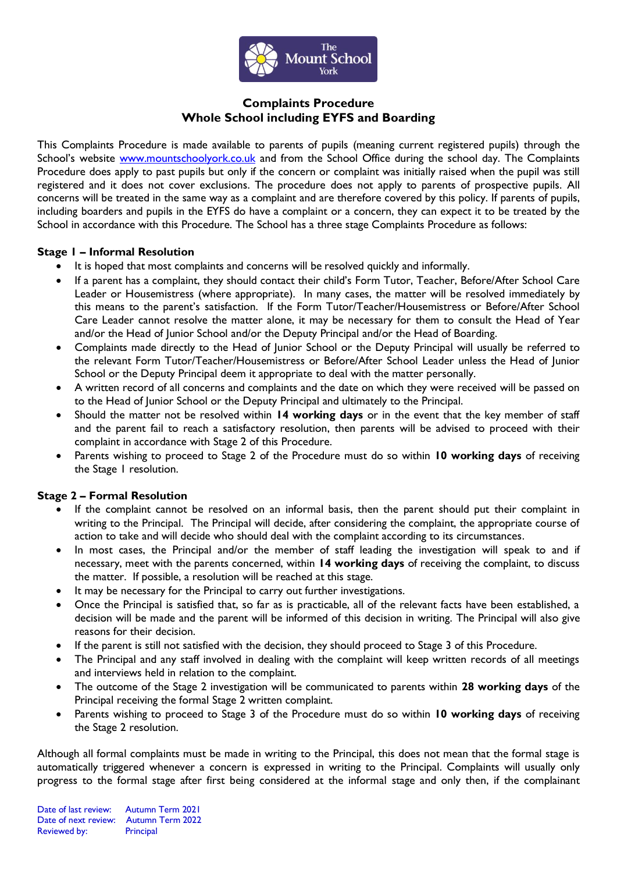

# **Complaints Procedure Whole School including EYFS and Boarding**

This Complaints Procedure is made available to parents of pupils (meaning current registered pupils) through the School's website [www.mountschoolyork.co.uk](http://www.mountschoolyork.co.uk/) and from the School Office during the school day. The Complaints Procedure does apply to past pupils but only if the concern or complaint was initially raised when the pupil was still registered and it does not cover exclusions. The procedure does not apply to parents of prospective pupils. All concerns will be treated in the same way as a complaint and are therefore covered by this policy. If parents of pupils, including boarders and pupils in the EYFS do have a complaint or a concern, they can expect it to be treated by the School in accordance with this Procedure. The School has a three stage Complaints Procedure as follows:

#### **Stage 1 – Informal Resolution**

- It is hoped that most complaints and concerns will be resolved quickly and informally.
- If a parent has a complaint, they should contact their child's Form Tutor, Teacher, Before/After School Care Leader or Housemistress (where appropriate). In many cases, the matter will be resolved immediately by this means to the parent's satisfaction. If the Form Tutor/Teacher/Housemistress or Before/After School Care Leader cannot resolve the matter alone, it may be necessary for them to consult the Head of Year and/or the Head of Junior School and/or the Deputy Principal and/or the Head of Boarding.
- Complaints made directly to the Head of Junior School or the Deputy Principal will usually be referred to the relevant Form Tutor/Teacher/Housemistress or Before/After School Leader unless the Head of Junior School or the Deputy Principal deem it appropriate to deal with the matter personally.
- A written record of all concerns and complaints and the date on which they were received will be passed on to the Head of Junior School or the Deputy Principal and ultimately to the Principal.
- Should the matter not be resolved within **14 working days** or in the event that the key member of staff and the parent fail to reach a satisfactory resolution, then parents will be advised to proceed with their complaint in accordance with Stage 2 of this Procedure.
- Parents wishing to proceed to Stage 2 of the Procedure must do so within **10 working days** of receiving the Stage 1 resolution.

## **Stage 2 – Formal Resolution**

- If the complaint cannot be resolved on an informal basis, then the parent should put their complaint in writing to the Principal. The Principal will decide, after considering the complaint, the appropriate course of action to take and will decide who should deal with the complaint according to its circumstances.
- In most cases, the Principal and/or the member of staff leading the investigation will speak to and if necessary, meet with the parents concerned, within **14 working days** of receiving the complaint, to discuss the matter. If possible, a resolution will be reached at this stage.
- It may be necessary for the Principal to carry out further investigations.
- Once the Principal is satisfied that, so far as is practicable, all of the relevant facts have been established, a decision will be made and the parent will be informed of this decision in writing. The Principal will also give reasons for their decision.
- If the parent is still not satisfied with the decision, they should proceed to Stage 3 of this Procedure.
- The Principal and any staff involved in dealing with the complaint will keep written records of all meetings and interviews held in relation to the complaint.
- The outcome of the Stage 2 investigation will be communicated to parents within **28 working days** of the Principal receiving the formal Stage 2 written complaint.
- Parents wishing to proceed to Stage 3 of the Procedure must do so within **10 working days** of receiving the Stage 2 resolution.

Although all formal complaints must be made in writing to the Principal, this does not mean that the formal stage is automatically triggered whenever a concern is expressed in writing to the Principal. Complaints will usually only progress to the formal stage after first being considered at the informal stage and only then, if the complainant

Date of last review: Autumn Term 2021 Date of next review: Autumn Term 2022 Reviewed by: Principal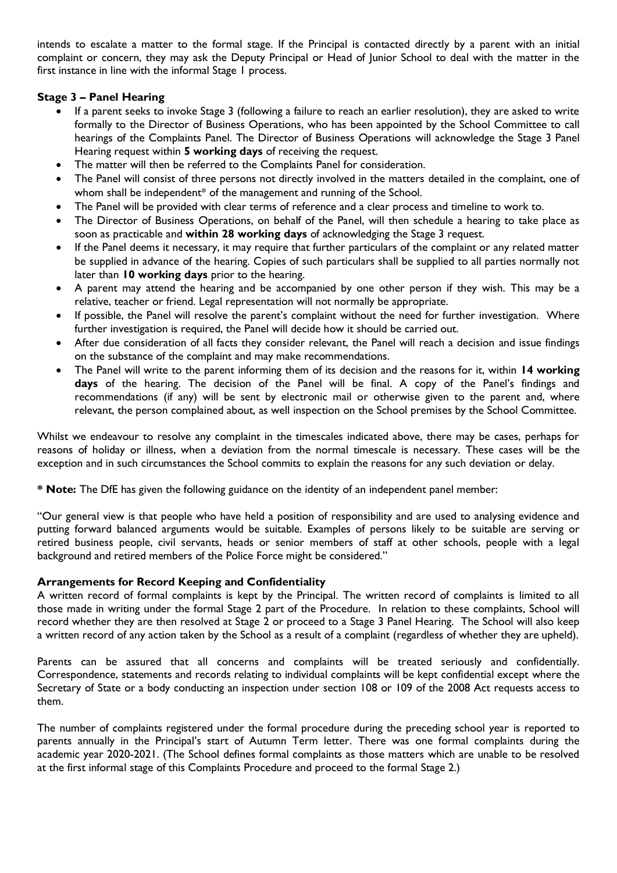intends to escalate a matter to the formal stage. If the Principal is contacted directly by a parent with an initial complaint or concern, they may ask the Deputy Principal or Head of Junior School to deal with the matter in the first instance in line with the informal Stage 1 process.

# **Stage 3 – Panel Hearing**

- If a parent seeks to invoke Stage 3 (following a failure to reach an earlier resolution), they are asked to write formally to the Director of Business Operations, who has been appointed by the School Committee to call hearings of the Complaints Panel. The Director of Business Operations will acknowledge the Stage 3 Panel Hearing request within **5 working days** of receiving the request.
- The matter will then be referred to the Complaints Panel for consideration.
- The Panel will consist of three persons not directly involved in the matters detailed in the complaint, one of whom shall be independent\* of the management and running of the School.
- The Panel will be provided with clear terms of reference and a clear process and timeline to work to.
- The Director of Business Operations, on behalf of the Panel, will then schedule a hearing to take place as soon as practicable and **within 28 working days** of acknowledging the Stage 3 request.
- If the Panel deems it necessary, it may require that further particulars of the complaint or any related matter be supplied in advance of the hearing. Copies of such particulars shall be supplied to all parties normally not later than **10 working days** prior to the hearing.
- A parent may attend the hearing and be accompanied by one other person if they wish. This may be a relative, teacher or friend. Legal representation will not normally be appropriate.
- If possible, the Panel will resolve the parent's complaint without the need for further investigation. Where further investigation is required, the Panel will decide how it should be carried out.
- After due consideration of all facts they consider relevant, the Panel will reach a decision and issue findings on the substance of the complaint and may make recommendations.
- The Panel will write to the parent informing them of its decision and the reasons for it, within **14 working days** of the hearing. The decision of the Panel will be final. A copy of the Panel's findings and recommendations (if any) will be sent by electronic mail or otherwise given to the parent and, where relevant, the person complained about, as well inspection on the School premises by the School Committee.

Whilst we endeavour to resolve any complaint in the timescales indicated above, there may be cases, perhaps for reasons of holiday or illness, when a deviation from the normal timescale is necessary. These cases will be the exception and in such circumstances the School commits to explain the reasons for any such deviation or delay.

**\* Note:** The DfE has given the following guidance on the identity of an independent panel member:

"Our general view is that people who have held a position of responsibility and are used to analysing evidence and putting forward balanced arguments would be suitable. Examples of persons likely to be suitable are serving or retired business people, civil servants, heads or senior members of staff at other schools, people with a legal background and retired members of the Police Force might be considered."

## **Arrangements for Record Keeping and Confidentiality**

A written record of formal complaints is kept by the Principal. The written record of complaints is limited to all those made in writing under the formal Stage 2 part of the Procedure. In relation to these complaints, School will record whether they are then resolved at Stage 2 or proceed to a Stage 3 Panel Hearing. The School will also keep a written record of any action taken by the School as a result of a complaint (regardless of whether they are upheld).

Parents can be assured that all concerns and complaints will be treated seriously and confidentially. Correspondence, statements and records relating to individual complaints will be kept confidential except where the Secretary of State or a body conducting an inspection under section 108 or 109 of the 2008 Act requests access to them.

The number of complaints registered under the formal procedure during the preceding school year is reported to parents annually in the Principal's start of Autumn Term letter. There was one formal complaints during the academic year 2020-2021. (The School defines formal complaints as those matters which are unable to be resolved at the first informal stage of this Complaints Procedure and proceed to the formal Stage 2.)